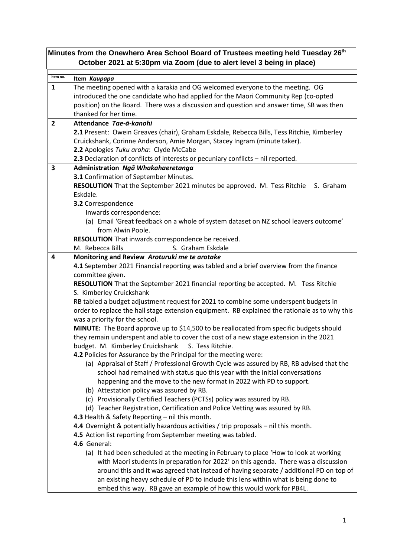| Minutes from the Onewhero Area School Board of Trustees meeting held Tuesday 26 <sup>th</sup><br>October 2021 at 5:30pm via Zoom (due to alert level 3 being in place) |                                                                                                                                                                                                                                                                                                                                                                                                                                                                                                                                                                                                                                                                                                                                                                                                                                                                                                                                                                                                                                                                                                                                                                                                                                                                                                                                                                                                                                                                                                                                                                                                                                                                                                                                                                                                                                                                                                                                                           |  |
|------------------------------------------------------------------------------------------------------------------------------------------------------------------------|-----------------------------------------------------------------------------------------------------------------------------------------------------------------------------------------------------------------------------------------------------------------------------------------------------------------------------------------------------------------------------------------------------------------------------------------------------------------------------------------------------------------------------------------------------------------------------------------------------------------------------------------------------------------------------------------------------------------------------------------------------------------------------------------------------------------------------------------------------------------------------------------------------------------------------------------------------------------------------------------------------------------------------------------------------------------------------------------------------------------------------------------------------------------------------------------------------------------------------------------------------------------------------------------------------------------------------------------------------------------------------------------------------------------------------------------------------------------------------------------------------------------------------------------------------------------------------------------------------------------------------------------------------------------------------------------------------------------------------------------------------------------------------------------------------------------------------------------------------------------------------------------------------------------------------------------------------------|--|
| Item no.                                                                                                                                                               | Item Kaupapa                                                                                                                                                                                                                                                                                                                                                                                                                                                                                                                                                                                                                                                                                                                                                                                                                                                                                                                                                                                                                                                                                                                                                                                                                                                                                                                                                                                                                                                                                                                                                                                                                                                                                                                                                                                                                                                                                                                                              |  |
| $\mathbf{1}$                                                                                                                                                           | The meeting opened with a karakia and OG welcomed everyone to the meeting. OG<br>introduced the one candidate who had applied for the Maori Community Rep (co-opted<br>position) on the Board. There was a discussion and question and answer time, SB was then<br>thanked for her time.                                                                                                                                                                                                                                                                                                                                                                                                                                                                                                                                                                                                                                                                                                                                                                                                                                                                                                                                                                                                                                                                                                                                                                                                                                                                                                                                                                                                                                                                                                                                                                                                                                                                  |  |
| $\overline{2}$                                                                                                                                                         | Attendance Tae-a-kanohi<br>2.1 Present: Owein Greaves (chair), Graham Eskdale, Rebecca Bills, Tess Ritchie, Kimberley<br>Cruickshank, Corinne Anderson, Amie Morgan, Stacey Ingram (minute taker).<br>2.2 Apologies Tuku aroha: Clyde McCabe<br>2.3 Declaration of conflicts of interests or pecuniary conflicts - nil reported.                                                                                                                                                                                                                                                                                                                                                                                                                                                                                                                                                                                                                                                                                                                                                                                                                                                                                                                                                                                                                                                                                                                                                                                                                                                                                                                                                                                                                                                                                                                                                                                                                          |  |
| 3                                                                                                                                                                      | Administration Ngā Whakahaeretanga<br>3.1 Confirmation of September Minutes.<br>RESOLUTION That the September 2021 minutes be approved. M. Tess Ritchie S. Graham<br>Eskdale.<br>3.2 Correspondence<br>Inwards correspondence:<br>(a) Email 'Great feedback on a whole of system dataset on NZ school leavers outcome'<br>from Alwin Poole.                                                                                                                                                                                                                                                                                                                                                                                                                                                                                                                                                                                                                                                                                                                                                                                                                                                                                                                                                                                                                                                                                                                                                                                                                                                                                                                                                                                                                                                                                                                                                                                                               |  |
|                                                                                                                                                                        | RESOLUTION That inwards correspondence be received.<br>M. Rebecca Bills<br>S. Graham Eskdale                                                                                                                                                                                                                                                                                                                                                                                                                                                                                                                                                                                                                                                                                                                                                                                                                                                                                                                                                                                                                                                                                                                                                                                                                                                                                                                                                                                                                                                                                                                                                                                                                                                                                                                                                                                                                                                              |  |
| 4                                                                                                                                                                      | Monitoring and Review Aroturuki me te arotake<br>4.1 September 2021 Financial reporting was tabled and a brief overview from the finance<br>committee given.<br>RESOLUTION That the September 2021 financial reporting be accepted. M. Tess Ritchie<br>S. Kimberley Cruickshank<br>RB tabled a budget adjustment request for 2021 to combine some underspent budgets in<br>order to replace the hall stage extension equipment. RB explained the rationale as to why this<br>was a priority for the school.<br>MINUTE: The Board approve up to \$14,500 to be reallocated from specific budgets should<br>they remain underspent and able to cover the cost of a new stage extension in the 2021<br>budget. M. Kimberley Cruickshank S. Tess Ritchie.<br>4.2 Policies for Assurance by the Principal for the meeting were:<br>(a) Appraisal of Staff / Professional Growth Cycle was assured by RB, RB advised that the<br>school had remained with status quo this year with the initial conversations<br>happening and the move to the new format in 2022 with PD to support.<br>(b) Attestation policy was assured by RB.<br>(c) Provisionally Certified Teachers (PCTSs) policy was assured by RB.<br>(d) Teacher Registration, Certification and Police Vetting was assured by RB.<br>4.3 Health & Safety Reporting - nil this month.<br>4.4 Overnight & potentially hazardous activities / trip proposals - nil this month.<br>4.5 Action list reporting from September meeting was tabled.<br>4.6 General:<br>(a) It had been scheduled at the meeting in February to place 'How to look at working<br>with Maori students in preparation for 2022' on this agenda. There was a discussion<br>around this and it was agreed that instead of having separate / additional PD on top of<br>an existing heavy schedule of PD to include this lens within what is being done to<br>embed this way. RB gave an example of how this would work for PB4L. |  |